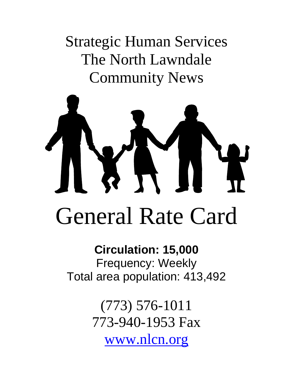Strategic Human Services The North Lawndale Community News



# **Circulation: 15,000**  Frequency: Weekly Total area population: 413,492

(773) 576-1011 773-940-1953 Fax [www.nlcn.org](http://www.nlcn.org/)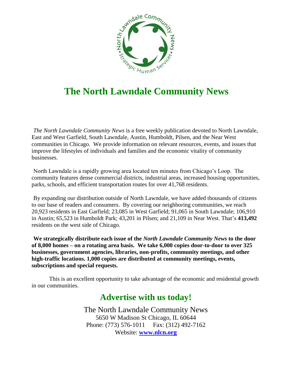

## **The North Lawndale Community News**

*The North Lawndale Community News* is a free weekly publication devoted to North Lawndale, East and West Garfield, South Lawndale, Austin, Humboldt, Pilsen, and the Near West communities in Chicago. We provide information on relevant resources, events, and issues that improve the lifestyles of individuals and families and the economic vitality of community businesses.

North Lawndale is a rapidly growing area located ten minutes from Chicago's Loop. The community features dense commercial districts, industrial areas, increased housing opportunities, parks, schools, and efficient transportation routes for over 41,768 residents.

By expanding our distribution outside of North Lawndale, we have added thousands of citizens to our base of readers and consumers. By covering our neighboring communities, we reach 20,923 residents in East Garfield; 23,085 in West Garfield; 91,065 in South Lawndale; 106,910 in Austin; 65,523 in Humboldt Park; 43,201 in Pilsen; and 21,109 in Near West. That's **413,492** residents on the west side of Chicago.

**We strategically distribute each issue of the** *North Lawndale Community News* **to the door of 8,000 homes – on a rotating area basis. We take 6,000 copies door-to-door to over 325 businesses, government agencies, libraries, non-profits, community meetings, and other high-traffic locations. 1,000 copies are distributed at community meetings, events, subscriptions and special requests.**

This is an excellent opportunity to take advantage of the economic and residential growth in our communities.

### **Advertise with us today!**

The North Lawndale Community News 5650 W Madison St Chicago, IL 60644 Phone: (773) 576-1011 Fax: (312) 492-7162 Website: **[www.nlcn.org](http://www.nlcn.org/)**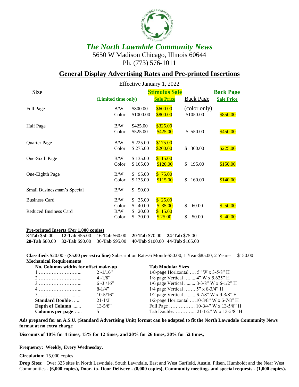

#### *The North Lawndale Community News* 5650 W Madison Chicago, Illinois 60644 Ph. (773) 576-1011

#### **General Display Advertising Rates and Pre-printed Insertions**

|                                                      | Effective January 1, 2022                          |                                  |                                          |                            |                    |  |
|------------------------------------------------------|----------------------------------------------------|----------------------------------|------------------------------------------|----------------------------|--------------------|--|
| Size                                                 | <b>Stimulus Sale</b>                               |                                  |                                          |                            |                    |  |
|                                                      | (Limited time only)                                |                                  | <b>Sale Price</b>                        | <b>Back Page</b>           | <b>Sale Price</b>  |  |
| <b>Full Page</b>                                     | B/W<br>Color                                       | \$800.00<br>\$1000.00            | \$600.00<br>\$800.00                     | (color only)<br>\$1050.00  | \$850.00           |  |
| Half Page                                            | B/W<br>Color                                       | \$425.00<br>\$525.00             | \$325.00<br>\$425.00                     | \$550.00                   | \$450.00           |  |
| Quarter Page                                         | B/W<br>Color                                       | \$225.00<br>\$275.00             | \$175.00<br>\$200.00                     | 300.00<br>\$               | \$225.00           |  |
| One-Sixth Page                                       | B/W<br>Color                                       | \$135.00<br>\$165.00             | \$115.00<br>\$120.00                     | \$<br>195.00               | \$150.00           |  |
| One-Eighth Page                                      | B/W<br>Color                                       | \$95.00<br>\$135.00              | \$75.00<br>\$115.00                      | \$<br>160.00               | \$140.00           |  |
| Small Businessman's Special                          | B/W<br>\$.                                         | 50.00                            |                                          |                            |                    |  |
| <b>Business Card</b><br><b>Reduced Business Card</b> | B/W<br>\$<br>Color<br>\$<br>B/W<br>S<br>Color<br>S | 35.00<br>40.00<br>20.00<br>30.00 | \$25.00<br>\$35.00<br>\$15.00<br>\$25.00 | \$<br>60.00<br>\$<br>50.00 | \$50.00<br>\$40.00 |  |
|                                                      |                                                    |                                  |                                          |                            |                    |  |

#### **Pre-printed Inserts (Per 1,000 copies)**

| <b>8-Tab \$50.00</b> | <b>12-Tab \$55.00</b>                                             | 16- <b>Tab</b> \$60.00 | <b>20-Tab</b> \$70.00           | <b>24-Tab \$75.00</b> |
|----------------------|-------------------------------------------------------------------|------------------------|---------------------------------|-----------------------|
|                      | <b>28-Tab</b> \$80.00 <b>32-Tab</b> \$90.00 <b>36-Tab</b> \$95.00 |                        | 40-Tab \$100.00 44-Tab \$105.00 |                       |

**Classifieds \$**20.00 - **(\$5.00 per extra line)** Subscription Rates 6 Month-\$50.00, 1 Year-\$85.00, 2 Years- \$150.00 **Mechanical Requirements**

| No. Columns widths for offset make-up |              | <b>Tab Modular Sizes</b>                 |  |  |
|---------------------------------------|--------------|------------------------------------------|--|--|
|                                       | $2 - 1/16$ " | 1/8-page Horizontal $5''$ W x 3-5/8" H   |  |  |
|                                       | $4 - 1/8$ "  | $1/8$ page Vertical 4" W x 5.625" H      |  |  |
|                                       | $6 - 3/16$ " | 1/6 page Vertical $3-3/8$ " W x 6-1/2" H |  |  |
|                                       | $8-1/4"$     | 1/4 page Vertical $5''$ x 6-3/4" H       |  |  |
|                                       | $10-5/16"$   | 1/2 page Vertical  6-7/8" W x 9-3/8" H   |  |  |
| <b>Standard Double</b>                | $21 - 1/2$ " | 1/2-page Horizontal 10-3/8" W x 6-7/8" H |  |  |
| Depth of Column                       | $13 - 5/8$ " |                                          |  |  |
| Columns per page                      |              | Tab Double 21-1/2" W x 13-5/8" H         |  |  |

**Ads prepared for an A.S.U. (Standard Advertising Unit) format can be adapted to fit the North Lawndale Community News format at no extra charge**

**Discounts of 10% for 4 times, 15% for 12 times, and 20% for 26 times, 30% for 52 times,**

**Frequency: Weekly, Every Wednesday.**

**Circulation:** 15,000 copies

**Drop Sites:** Over 325 sites in North Lawndale, South Lawndale, East and West Garfield, Austin, Pilsen, Humboldt and the Near West Communities - **(6,000 copies), Door- to- Door Delivery - (8,000 copies), Community meetings and special requests - (1,000 copies).**